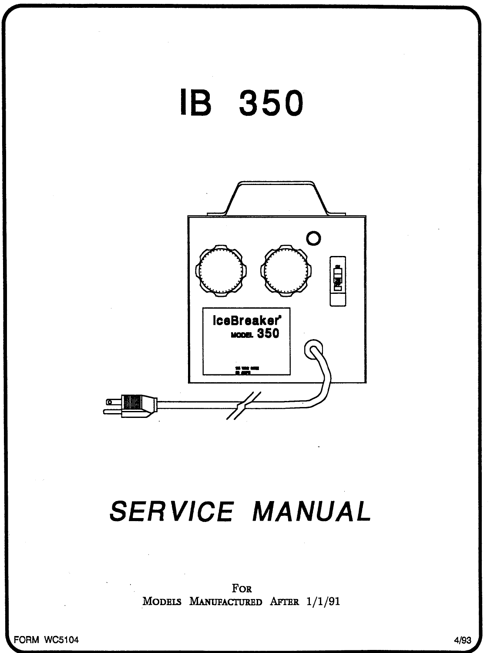

FOR MODELS MANUFACTURED AFTER 1/1/91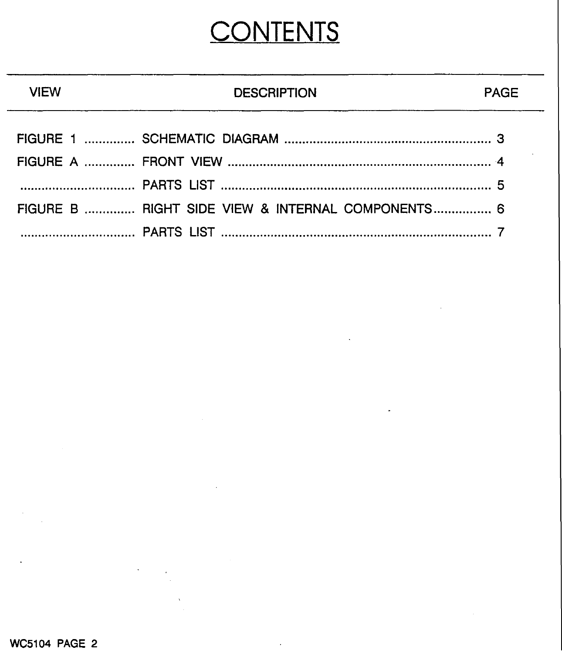## **CONTENTS**

## **DESCRIPTION PAGE**

| FIGURE B  RIGHT SIDE VIEW & INTERNAL COMPONENTS 6 |  |
|---------------------------------------------------|--|
|                                                   |  |

**VIEW**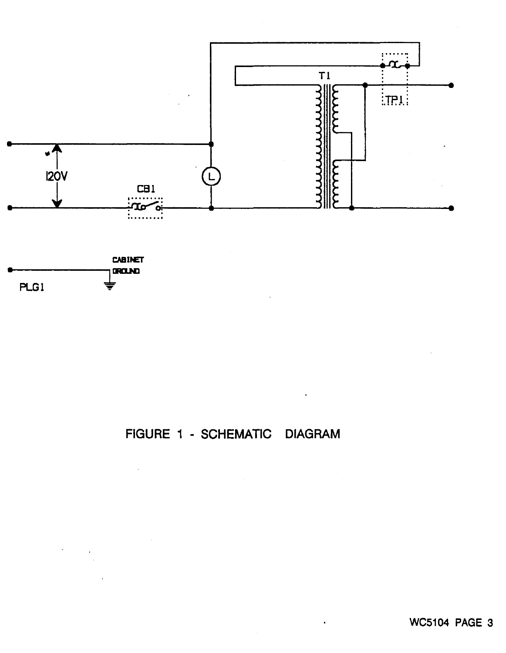



 $\sim$   $\sim$ 



 $\ddot{\phantom{a}}$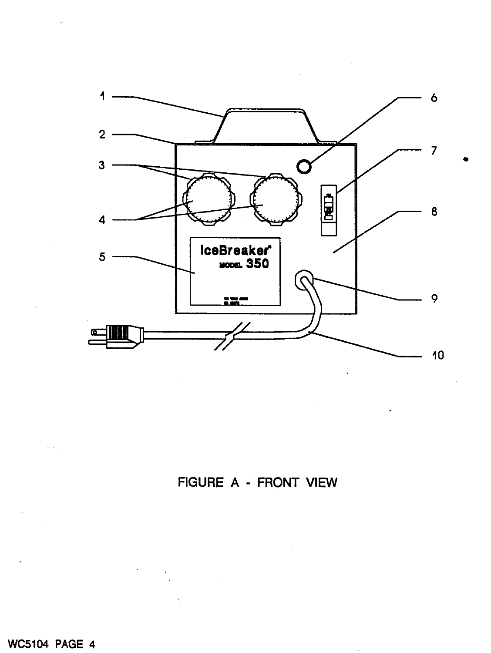

FIGURE A - FRONT VIEW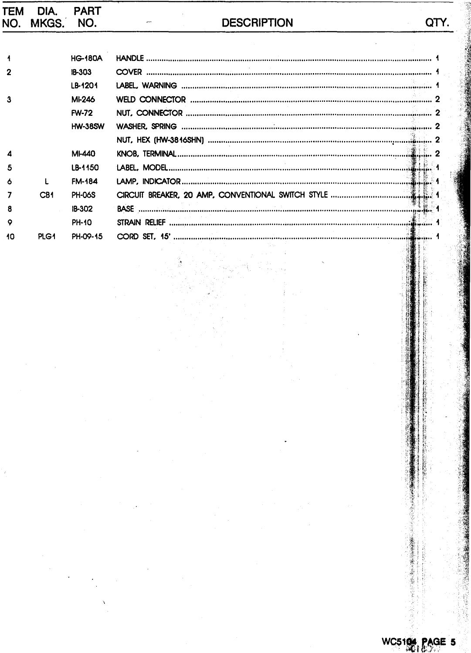| TEM | DIA.<br>NO. MKGS. NO. | <b>PART</b>    | <b>DESCRIPTION</b><br>ern. |  |
|-----|-----------------------|----------------|----------------------------|--|
|     |                       |                |                            |  |
|     |                       | <b>HG-180A</b> |                            |  |
| 2   |                       | <b>IB-303</b>  |                            |  |
|     |                       | LB-1201        |                            |  |
| А   |                       | MI-246         |                            |  |
|     |                       | <b>FW-72</b>   |                            |  |
|     |                       | <b>HW-38SW</b> |                            |  |
|     |                       |                |                            |  |
|     |                       | <b>MI-440</b>  |                            |  |
| 5   |                       | LB-1150        |                            |  |
|     |                       | <b>FM-184</b>  |                            |  |
|     | CB <sub>1</sub>       | <b>PH-06S</b>  |                            |  |
| я   |                       | IB-302         |                            |  |
| ۰   |                       | <b>PH-10</b>   |                            |  |
| 10  | PLG1                  | PH-09-15       |                            |  |

 $\ddot{\phantom{0}}$ 

 $\ddot{\phantom{0}}$ 

 $\ddot{\phantom{0}}$ 

■の「この「この」というのは、「この」というのは、「この」というのは、「この」というのは、「この」というのは、「この」というのは、「この」というのは、「この」というのは、「この」というのは、「この」と

高等の後のような 

 $5106$ 

PAGE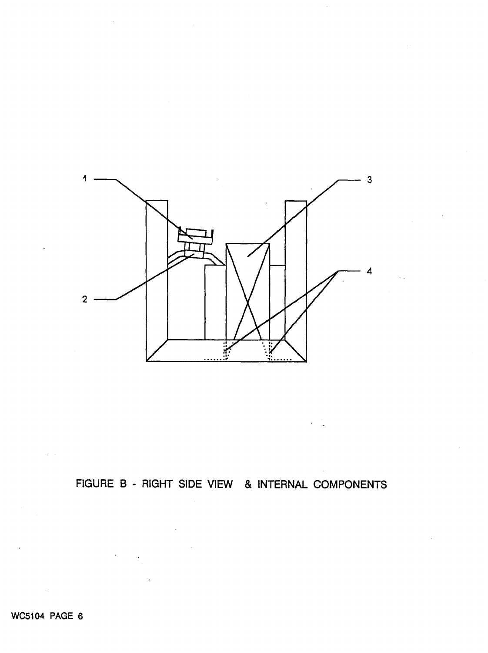

FIGURE 8 - RIGHT SIDE VIEW & INTERNAL COMPONENTS

WC5104 PAGE 6

 $\mathcal{L}_{\rm{eff}}$